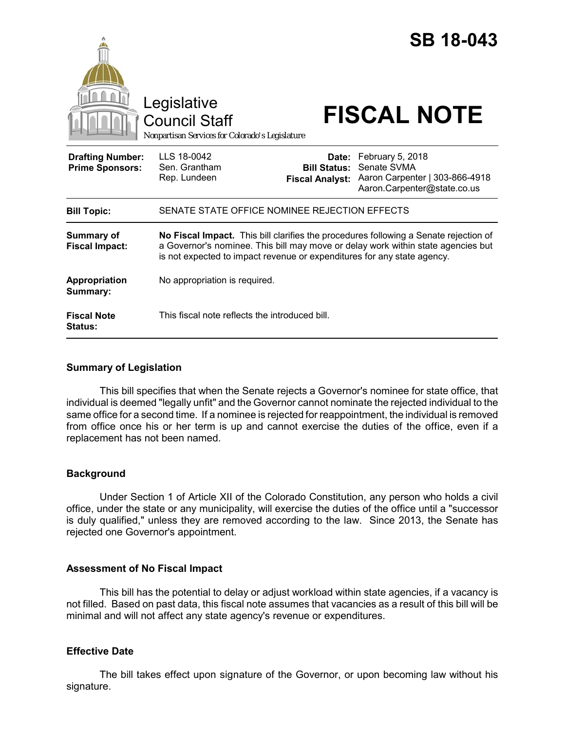|                                                   | Legislative<br><b>Council Staff</b><br>Nonpartisan Services for Colorado's Legislature                                                                                                                                                              |                                                        | <b>SB 18-043</b><br><b>FISCAL NOTE</b>                                                           |
|---------------------------------------------------|-----------------------------------------------------------------------------------------------------------------------------------------------------------------------------------------------------------------------------------------------------|--------------------------------------------------------|--------------------------------------------------------------------------------------------------|
| <b>Drafting Number:</b><br><b>Prime Sponsors:</b> | LLS 18-0042<br>Sen. Grantham<br>Rep. Lundeen                                                                                                                                                                                                        | Date:<br><b>Bill Status:</b><br><b>Fiscal Analyst:</b> | February 5, 2018<br>Senate SVMA<br>Aaron Carpenter   303-866-4918<br>Aaron.Carpenter@state.co.us |
| <b>Bill Topic:</b>                                | SENATE STATE OFFICE NOMINEE REJECTION EFFECTS                                                                                                                                                                                                       |                                                        |                                                                                                  |
| <b>Summary of</b><br><b>Fiscal Impact:</b>        | No Fiscal Impact. This bill clarifies the procedures following a Senate rejection of<br>a Governor's nominee. This bill may move or delay work within state agencies but<br>is not expected to impact revenue or expenditures for any state agency. |                                                        |                                                                                                  |
| <b>Appropriation</b><br>Summary:                  | No appropriation is required.                                                                                                                                                                                                                       |                                                        |                                                                                                  |
| <b>Fiscal Note</b><br><b>Status:</b>              | This fiscal note reflects the introduced bill.                                                                                                                                                                                                      |                                                        |                                                                                                  |

# **Summary of Legislation**

This bill specifies that when the Senate rejects a Governor's nominee for state office, that individual is deemed "legally unfit" and the Governor cannot nominate the rejected individual to the same office for a second time. If a nominee is rejected for reappointment, the individual is removed from office once his or her term is up and cannot exercise the duties of the office, even if a replacement has not been named.

# **Background**

Under Section 1 of Article XII of the Colorado Constitution, any person who holds a civil office, under the state or any municipality, will exercise the duties of the office until a "successor is duly qualified," unless they are removed according to the law. Since 2013, the Senate has rejected one Governor's appointment.

# **Assessment of No Fiscal Impact**

This bill has the potential to delay or adjust workload within state agencies, if a vacancy is not filled. Based on past data, this fiscal note assumes that vacancies as a result of this bill will be minimal and will not affect any state agency's revenue or expenditures.

# **Effective Date**

The bill takes effect upon signature of the Governor, or upon becoming law without his signature.